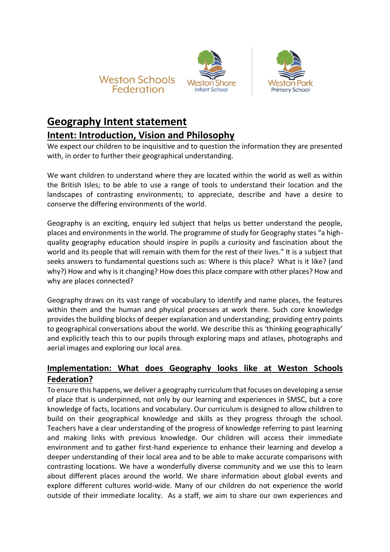





## **Geography Intent statement Intent: Introduction, Vision and Philosophy**

We expect our children to be inquisitive and to question the information they are presented with, in order to further their geographical understanding.

We want children to understand where they are located within the world as well as within the British Isles; to be able to use a range of tools to understand their location and the landscapes of contrasting environments; to appreciate, describe and have a desire to conserve the differing environments of the world.

Geography is an exciting, enquiry led subject that helps us better understand the people, places and environments in the world. The programme of study for Geography states "a highquality geography education should inspire in pupils a curiosity and fascination about the world and its people that will remain with them for the rest of their lives." It is a subject that seeks answers to fundamental questions such as: Where is this place? What is it like? (and why?) How and why is it changing? How does this place compare with other places? How and why are places connected?

Geography draws on its vast range of vocabulary to identify and name places, the features within them and the human and physical processes at work there. Such core knowledge provides the building blocks of deeper explanation and understanding; providing entry points to geographical conversations about the world. We describe this as 'thinking geographically' and explicitly teach this to our pupils through exploring maps and atlases, photographs and aerial images and exploring our local area.

## **Implementation: What does Geography looks like at Weston Schools Federation?**

To ensure this happens, we deliver a geography curriculum that focuses on developing a sense of place that is underpinned, not only by our learning and experiences in SMSC, but a core knowledge of facts, locations and vocabulary. Our curriculum is designed to allow children to build on their geographical knowledge and skills as they progress through the school. Teachers have a clear understanding of the progress of knowledge referring to past learning and making links with previous knowledge. Our children will access their immediate environment and to gather first-hand experience to enhance their learning and develop a deeper understanding of their local area and to be able to make accurate comparisons with contrasting locations. We have a wonderfully diverse community and we use this to learn about different places around the world. We share information about global events and explore different cultures world-wide. Many of our children do not experience the world outside of their immediate locality. As a staff, we aim to share our own experiences and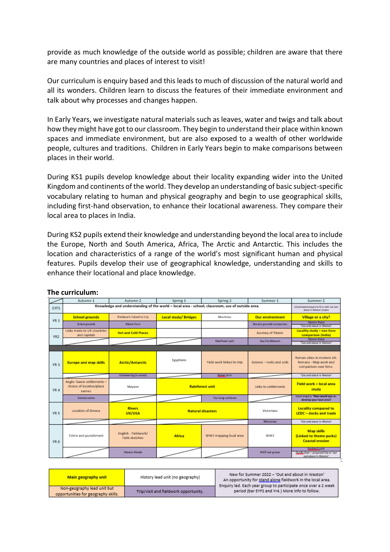provide as much knowledge of the outside world as possible; children are aware that there are many countries and places of interest to visit!

Our curriculum is enquiry based and this leads to much of discussion of the natural world and all its wonders. Children learn to discuss the features of their immediate environment and talk about why processes and changes happen.

In Early Years, we investigate natural materials such as leaves, water and twigs and talk about how they might have got to our classroom. They begin to understand their place within known spaces and immediate environment, but are also exposed to a wealth of other worldwide people, cultures and traditions. Children in Early Years begin to make comparisons between places in their world.

During KS1 pupils develop knowledge about their locality expanding wider into the United Kingdom and continents of the world. They develop an understanding of basic subject-specific vocabulary relating to human and physical geography and begin to use geographical skills, including first-hand observation, to enhance their locational awareness. They compare their local area to places in India.

During KS2 pupils extend their knowledge and understanding beyond the local area to include the Europe, North and South America, Africa, The Arctic and Antarctic. This includes the location and characteristics of a range of the world's most significant human and physical features. Pupils develop their use of geographical knowledge, understanding and skills to enhance their locational and place knowledge.

|                 | Autumn 1                                                                                        | Autumn 2                                                                 | Spring 1                   | Spring 2                  | Summer 1                   | Summer 2                                                                          |
|-----------------|-------------------------------------------------------------------------------------------------|--------------------------------------------------------------------------|----------------------------|---------------------------|----------------------------|-----------------------------------------------------------------------------------|
| EYFS            | Knowledge and understanding of the world - local area - school, classroom, use of outside area. | School based enguiny to fit in with 'out and<br>about in Weston' project |                            |                           |                            |                                                                                   |
| YR <sub>1</sub> | <b>School grounds</b>                                                                           | Fieldwork linked to trip                                                 | <b>Local study/Bridges</b> | Machines                  | <b>Our environment</b>     | Village or a city?                                                                |
|                 | School grounds                                                                                  | Manor Farm                                                               |                            |                           | Nursery grounds comparison | Weston Shore<br>'Out and about in Weston'                                         |
| YR <sub>2</sub> | Links made to UK countries<br>and capitals                                                      | <b>Hot and Cold Places</b>                                               |                            |                           | Journey of Titanic         | Locality study - non Euro<br>comparison (India)                                   |
|                 |                                                                                                 |                                                                          |                            | Mayflower park            | Sea City Museum            | Weston Shore<br>'Out and about in Weston'                                         |
|                 |                                                                                                 |                                                                          |                            |                           |                            |                                                                                   |
| YR <sub>3</sub> | <b>Europe and map skills</b>                                                                    | <b>Arctic/Antarctic</b>                                                  | Egyptians                  | Field work linked to trip | Science - rocks and soils  | Roman cities in modern UK.<br>Romans - Map work and<br>comparison over time.      |
|                 |                                                                                                 | Crienteering (in school)                                                 |                            | <b>Church</b> Tarm        |                            | 'Out and about in Weston'                                                         |
| YR 4            | Anglo-Saxon settlements-<br>choice of location/place<br>names.                                  | Mayans                                                                   | <b>Rainforest unit</b>     |                           | Links to settlements       | Field work - local area<br>study                                                  |
|                 | Science centre                                                                                  |                                                                          |                            | The living rainforest     |                            | Local enquiry. 'How would you re-<br>develop your local area?                     |
| YR 5            | Location of Greece                                                                              | <b>Rivers</b><br>UK/USA                                                  | <b>Natural disasters</b>   |                           | Victorians                 | <b>Locality compared to</b><br><b>LEDC</b> - docks and trade                      |
|                 |                                                                                                 |                                                                          |                            |                           | <b>Milestones</b>          | 'Out and about in Weston'                                                         |
| YR 6            | Crime and punishment                                                                            | English - Fieldwork/<br><b>Field sketches</b>                            | <b>Africa</b>              | WW2 mapping local area    | WW2                        | <b>Map skills</b><br>(Linked to theme parks)<br><b>Coastal erosion</b>            |
|                 |                                                                                                 | Weston Woods                                                             |                            |                           | <b>BVCP</b> war graves     | <b>CAMAANA</b> ark<br>Ducche Door - proposed trip or 'out<br>and about in Weston" |

## **The curriculum:**

| <b>Main geography unit</b>                                         | History lead unit (no geography)      | New for Summer 2022 - 'Out and about in Weston'<br>An opportunity for stand along fieldwork in the local area.<br>Enquiry led. Each year group to participate once over a 2 week |  |
|--------------------------------------------------------------------|---------------------------------------|----------------------------------------------------------------------------------------------------------------------------------------------------------------------------------|--|
| Non-geography lead unit but<br>opportunities for geography skills. | Trip/visit and fieldwork opportunity. | period (bar EYFS and Yr4.) More info to follow.                                                                                                                                  |  |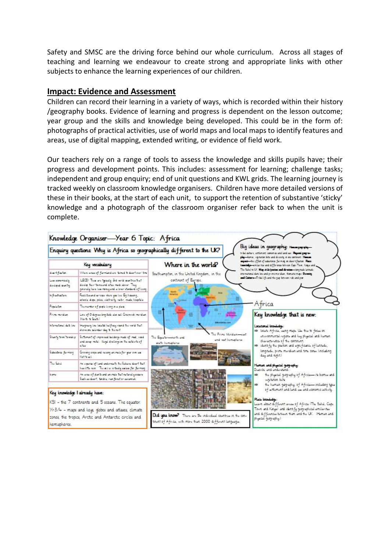Safety and SMSC are the driving force behind our whole curriculum. Across all stages of teaching and learning we endeavour to create strong and appropriate links with other subjects to enhance the learning experiences of our children.

## **Impact: Evidence and Assessment**

Children can record their learning in a variety of ways, which is recorded within their history /geography books. Evidence of learning and progress is dependent on the lesson outcome; year group and the skills and knowledge being developed. This could be in the form of: photographs of practical activities, use of world maps and local maps to identify features and areas, use of digital mapping, extended writing, or evidence of field work.

Our teachers rely on a range of tools to assess the knowledge and skills pupils have; their progress and development points. This includes: assessment for learning; challenge tasks; independent and group enquiry; end of unit questions and KWL grids. The learning journey is tracked weekly on classroom knowledge organisers. Children have more detailed versions of these in their books, at the start of each unit, to support the retention of substantive 'sticky' knowledge and a photograph of the classroom organiser refer back to when the unit is complete.

|                                                                                                                                                                                                                   | Knowledge Organiser-Year 6 Topic: Africa                                                                                                                 | Big ideas in geography: Hununguyukg-                                                                                                                                                                                                        |  |  |  |  |
|-------------------------------------------------------------------------------------------------------------------------------------------------------------------------------------------------------------------|----------------------------------------------------------------------------------------------------------------------------------------------------------|---------------------------------------------------------------------------------------------------------------------------------------------------------------------------------------------------------------------------------------------|--|--|--|--|
| Enquiry questions Why is Africa so geographically different to the UK?<br>tribal others, settlement commits and land us: Repairs gregorie-<br>play-bonus, vigination bits and division in one continues. However, |                                                                                                                                                          |                                                                                                                                                                                                                                             |  |  |  |  |
|                                                                                                                                                                                                                   | Key vocabulary                                                                                                                                           | aspect-the offer of inhatenes farming in door themen. Place<br>Where in the world?<br>issueinige-entier to and difference between Cape Toon, Kenja and                                                                                      |  |  |  |  |
| down 1 year lon.                                                                                                                                                                                                  | When anse of furnished are timed a deartown the                                                                                                          | The Sales to UK. May with (parties and develop-long hade latinude<br>Southumpton, in the United Kingdom, in the<br>storeational date los and primemoridan, thenatic maps. Darmita                                                           |  |  |  |  |
| Los contentidad la<br>dovined aunty                                                                                                                                                                               | LECD! Then are aposity and verid countries hat<br>doulet fair leinsund also mech down. They<br>governing have loss recognized a lover standard off kung- | and Colors-Tribal List and the gap between risk and per-<br>continent of Europe.                                                                                                                                                            |  |  |  |  |
| in trastucture                                                                                                                                                                                                    | Factificand arites shot you loo Egihousing.<br>schools, shape, poice, classricing, valter, roads, hospitals,                                             |                                                                                                                                                                                                                                             |  |  |  |  |
| Papulaton                                                                                                                                                                                                         | The number of people living in a place                                                                                                                   | Africa                                                                                                                                                                                                                                      |  |  |  |  |
| Prime mendium                                                                                                                                                                                                     | Lino of O domais brightedo also ail! Grammah moridian.<br>North & South)                                                                                 | Key knowledge that is new:                                                                                                                                                                                                                  |  |  |  |  |
| informational date line                                                                                                                                                                                           | leageary les located halfway round the world that<br>show on believing that the rest                                                                     | Locational Engineers:<br>=> locate Africa, wing maps. Use this to focus on                                                                                                                                                                  |  |  |  |  |
| Shan's low/terminip                                                                                                                                                                                               | Softenent of improved buildings made of med, word<br>und song metal. Ilogal disclange on the autobiote of<br>cline.                                      | The Prime Mendun-sust<br>environmental regions and less physical and human<br>The Equator-north and<br>and not homephores.<br>characteristics of the continent.<br>wath homeplanes<br>=> identify the position and significance of lattude, |  |  |  |  |
| Subsistence Serming                                                                                                                                                                                               | Growing crops and raising unimate for your own use<br>Not to all                                                                                         | longitude, prime meridian and time zones lincluding<br>day and right.)                                                                                                                                                                      |  |  |  |  |
| The Sahid                                                                                                                                                                                                         | An expense of land and orneath the Sahara deart hat<br>has life run. The citie whally unless for furning                                                 | Human and physical guay-aphy:<br>Describe and understand:                                                                                                                                                                                   |  |  |  |  |
| bums                                                                                                                                                                                                              | An unu of plants and animals that naturally sequre<br>Such as door?, Indra, run forest or severals.                                                      | the physical geography of Africa-its biomer and<br>⇒<br>which the bells                                                                                                                                                                     |  |  |  |  |
|                                                                                                                                                                                                                   |                                                                                                                                                          | the human gegraphy, of Africa-including aper<br>⇒<br>of actionizent and land was and oconomic activity.                                                                                                                                     |  |  |  |  |
| Key knowledge I already have:                                                                                                                                                                                     |                                                                                                                                                          | Place impulsation:                                                                                                                                                                                                                          |  |  |  |  |
|                                                                                                                                                                                                                   | KSI - the 7 continents and 5 oceans. The equator:                                                                                                        | Learn about different areas of Africa IThe Sahd, Cape                                                                                                                                                                                       |  |  |  |  |
|                                                                                                                                                                                                                   | Yr3/4 - maps and keys, globes and atlases, climate                                                                                                       | Town and Kangal and identify geographical arrilarities                                                                                                                                                                                      |  |  |  |  |
| hemispheres.                                                                                                                                                                                                      | zones, the tropics, Arctic and Antarctic circles and                                                                                                     | and differences between them and the UK. IHuman and<br>Did upu know? There are 54 individual countries in the con-<br>physical geography.)<br>trient of Africa, with more than 2000 different languages.                                    |  |  |  |  |